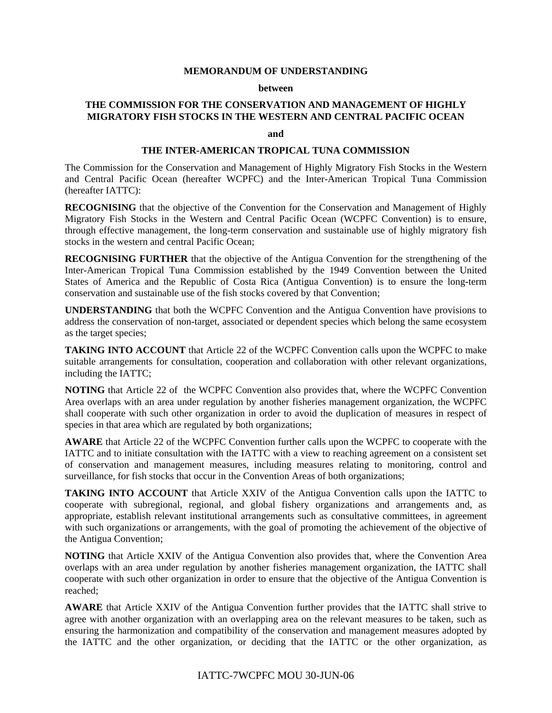#### **MEMORANDUM OF UNDERSTANDING**

#### **between**

# **THE COMMISSION FOR THE CONSERVATION AND MANAGEMENT OF HIGHLY MIGRATORY FISH STOCKS IN THE WESTERN AND CENTRAL PACIFIC OCEAN**

**and** 

### **THE INTER-AMERICAN TROPICAL TUNA COMMISSION**

The Commission for the Conservation and Management of Highly Migratory Fish Stocks in the Western and Central Pacific Ocean (hereafter WCPFC) and the Inter-American Tropical Tuna Commission (hereafter IATTC):

**RECOGNISING** that the objective of the Convention for the Conservation and Management of Highly Migratory Fish Stocks in the Western and Central Pacific Ocean (WCPFC Convention) is to ensure, through effective management, the long-term conservation and sustainable use of highly migratory fish stocks in the western and central Pacific Ocean;

**RECOGNISING FURTHER** that the objective of the Antigua Convention for the strengthening of the Inter-American Tropical Tuna Commission established by the 1949 Convention between the United States of America and the Republic of Costa Rica (Antigua Convention) is to ensure the long-term conservation and sustainable use of the fish stocks covered by that Convention;

**UNDERSTANDING** that both the WCPFC Convention and the Antigua Convention have provisions to address the conservation of non-target, associated or dependent species which belong the same ecosystem as the target species;

**TAKING INTO ACCOUNT** that Article 22 of the WCPFC Convention calls upon the WCPFC to make suitable arrangements for consultation, cooperation and collaboration with other relevant organizations, including the IATTC;

**NOTING** that Article 22 of the WCPFC Convention also provides that, where the WCPFC Convention Area overlaps with an area under regulation by another fisheries management organization, the WCPFC shall cooperate with such other organization in order to avoid the duplication of measures in respect of species in that area which are regulated by both organizations;

**AWARE** that Article 22 of the WCPFC Convention further calls upon the WCPFC to cooperate with the IATTC and to initiate consultation with the IATTC with a view to reaching agreement on a consistent set of conservation and management measures, including measures relating to monitoring, control and surveillance, for fish stocks that occur in the Convention Areas of both organizations;

**TAKING INTO ACCOUNT** that Article XXIV of the Antigua Convention calls upon the IATTC to cooperate with subregional, regional, and global fishery organizations and arrangements and, as appropriate, establish relevant institutional arrangements such as consultative committees, in agreement with such organizations or arrangements, with the goal of promoting the achievement of the objective of the Antigua Convention;

**NOTING** that Article XXIV of the Antigua Convention also provides that, where the Convention Area overlaps with an area under regulation by another fisheries management organization, the IATTC shall cooperate with such other organization in order to ensure that the objective of the Antigua Convention is reached;

**AWARE** that Article XXIV of the Antigua Convention further provides that the IATTC shall strive to agree with another organization with an overlapping area on the relevant measures to be taken, such as ensuring the harmonization and compatibility of the conservation and management measures adopted by the IATTC and the other organization, or deciding that the IATTC or the other organization, as

# IATTC-7WCPFC MOU 30-JUN-06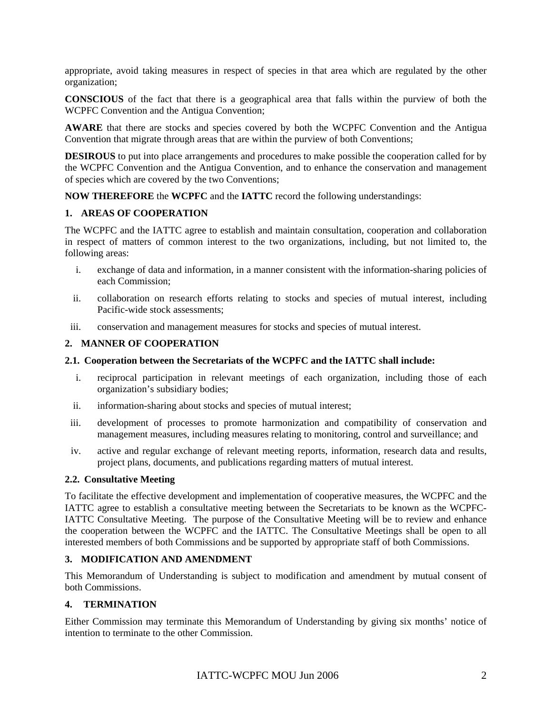appropriate, avoid taking measures in respect of species in that area which are regulated by the other organization;

**CONSCIOUS** of the fact that there is a geographical area that falls within the purview of both the WCPFC Convention and the Antigua Convention;

**AWARE** that there are stocks and species covered by both the WCPFC Convention and the Antigua Convention that migrate through areas that are within the purview of both Conventions;

**DESIROUS** to put into place arrangements and procedures to make possible the cooperation called for by the WCPFC Convention and the Antigua Convention, and to enhance the conservation and management of species which are covered by the two Conventions;

**NOW THEREFORE** the **WCPFC** and the **IATTC** record the following understandings:

### **1. AREAS OF COOPERATION**

The WCPFC and the IATTC agree to establish and maintain consultation, cooperation and collaboration in respect of matters of common interest to the two organizations, including, but not limited to, the following areas:

- i. exchange of data and information, in a manner consistent with the information-sharing policies of each Commission;
- ii. collaboration on research efforts relating to stocks and species of mutual interest, including Pacific-wide stock assessments;
- iii. conservation and management measures for stocks and species of mutual interest.

### **2. MANNER OF COOPERATION**

#### **2.1. Cooperation between the Secretariats of the WCPFC and the IATTC shall include:**

- i. reciprocal participation in relevant meetings of each organization, including those of each organization's subsidiary bodies;
- ii. information-sharing about stocks and species of mutual interest;
- iii. development of processes to promote harmonization and compatibility of conservation and management measures, including measures relating to monitoring, control and surveillance; and
- iv. active and regular exchange of relevant meeting reports, information, research data and results, project plans, documents, and publications regarding matters of mutual interest.

#### **2.2. Consultative Meeting**

To facilitate the effective development and implementation of cooperative measures, the WCPFC and the IATTC agree to establish a consultative meeting between the Secretariats to be known as the WCPFC-IATTC Consultative Meeting. The purpose of the Consultative Meeting will be to review and enhance the cooperation between the WCPFC and the IATTC. The Consultative Meetings shall be open to all interested members of both Commissions and be supported by appropriate staff of both Commissions.

# **3. MODIFICATION AND AMENDMENT**

This Memorandum of Understanding is subject to modification and amendment by mutual consent of both Commissions.

### **4. TERMINATION**

Either Commission may terminate this Memorandum of Understanding by giving six months' notice of intention to terminate to the other Commission.